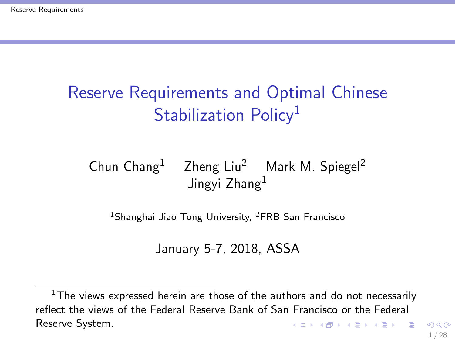# <span id="page-0-0"></span>Reserve Requirements and Optimal Chinese Stabilization Policy<sup>1</sup>

#### Chun Chang<sup>1</sup> Zheng Liu<sup>2</sup> Mark M. Spiegel<sup>2</sup> Jingvi Zhang<sup>1</sup>

<sup>1</sup>Shanghai Jiao Tong University, <sup>2</sup>FRB San Francisco

January 5-7, 2018, ASSA

 $1$ The views expressed herein are those of the authors and do not necessarily reflect the views of the Federal Reserve Bank of San Francisco or the Federal Reserve System. K ロ ▶ K @ ▶ K 할 ▶ K 할 ▶ ( 할 )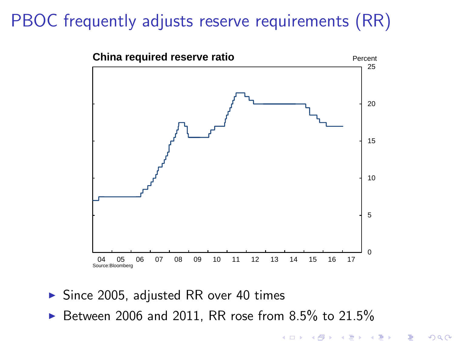# PBOC frequently adjusts reserve requirements (RR)



- $\triangleright$  Since 2005, adjusted RR over 40 times
- Between 2006 and 2011, RR rose from 8.5% to 21.5%

キロト メ御 ドメ君 ドメ君 ト

重

 $2Q$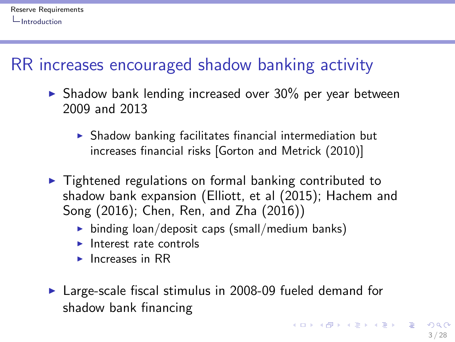## <span id="page-2-0"></span>RR increases encouraged shadow banking activity

- $\triangleright$  Shadow bank lending increased over 30% per year between 2009 and 2013
	- $\triangleright$  Shadow banking facilitates financial intermediation but increases financial risks [Gorton and Metrick (2010)]
- $\triangleright$  Tightened regulations on formal banking contributed to shadow bank expansion (Elliott, et al (2015); Hachem and Song (2016); Chen, Ren, and Zha (2016))
	- ighthroan binding loan/deposit caps (small/medium banks)
	- $\blacktriangleright$  Interest rate controls
	- $\blacktriangleright$  Increases in RR
- $\blacktriangleright$  Large-scale fiscal stimulus in 2008-09 fueled demand for shadow bank financing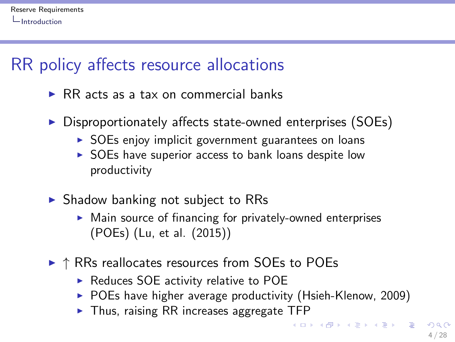## <span id="page-3-0"></span>RR policy affects resource allocations

- $\triangleright$  RR acts as a tax on commercial banks
- $\triangleright$  Disproportionately affects state-owned enterprises (SOEs)
	- $\triangleright$  SOEs enjoy implicit government guarantees on loans
	- $\triangleright$  SOEs have superior access to bank loans despite low productivity
- $\triangleright$  Shadow banking not subject to RRs
	- $\triangleright$  Main source of financing for privately-owned enterprises (POEs) (Lu, et al. (2015))
- $\triangleright$   $\uparrow$  RRs reallocates resources from SOEs to POEs
	- $\triangleright$  Reduces SOE activity relative to POE
	- $\triangleright$  POEs have higher average productivity (Hsieh-Klenow, 2009)
	- $\blacktriangleright$  Thus, raising RR increases aggregate TFP

 $\mathbf{A} \otimes \mathbf{B} \rightarrow \mathbf{A} \otimes \mathbf{B} \rightarrow \mathbf{A} \otimes \mathbf{B} \rightarrow \mathbf{A} \otimes \mathbf{B} \rightarrow \mathbf{B} \otimes \mathbf{B}$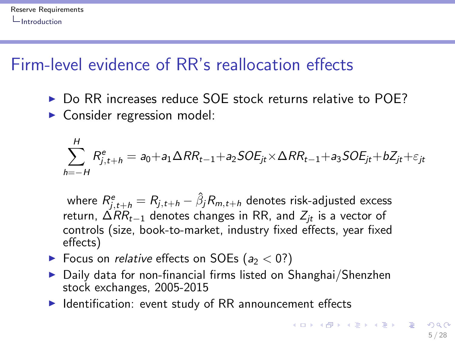## <span id="page-4-0"></span>Firm-level evidence of RR's reallocation effects

- ▶ Do RR increases reduce SOE stock returns relative to POE?
- $\triangleright$  Consider regression model:

$$
\sum_{h=-H}^{H} R_{j,t+h}^{e} = a_0 + a_1 \Delta RR_{t-1} + a_2 SOE_{jt} \times \Delta RR_{t-1} + a_3 SOE_{jt} + bZ_{jt} + \varepsilon_{jt}
$$

where  $R_{j,t+h}^e=R_{j,t+h}-\hat{\beta}_jR_{m,t+h}$  denotes risk-adjusted excess return,  $\Delta RR_{t-1}$  denotes changes in RR, and  $Z_{it}$  is a vector of controls (size, book-to-market, industry fixed effects, year fixed effects)

- $\blacktriangleright$  Focus on *relative* effects on SOEs ( $a_2 < 0$ ?)
- $\triangleright$  Daily data for non-financial firms listed on Shanghai/Shenzhen stock exchanges, 2005-2015
- $\blacktriangleright$  Identification: event study of RR announcement effects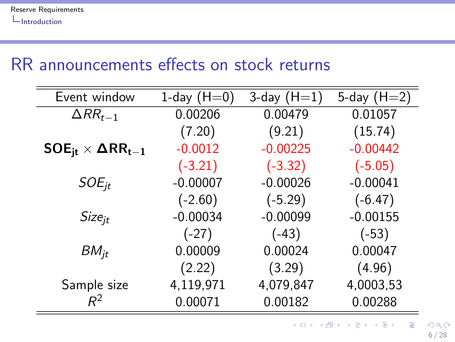## <span id="page-5-0"></span>RR announcements effects on stock returns

| Event window                                                          | 1-day $(H=0)$ | 3-day $(H=1)$ | 5-day $(H=2)$ |
|-----------------------------------------------------------------------|---------------|---------------|---------------|
| $\Delta RR_{t-1}$                                                     | 0.00206       | 0.00479       | 0.01057       |
|                                                                       | (7.20)        | (9.21)        | (15.74)       |
| $\mathsf{SOE}_{\mathsf{it}} \times \mathsf{\Delta RR}_{\mathsf{t}-1}$ | $-0.0012$     | $-0.00225$    | $-0.00442$    |
|                                                                       | $(-3.21)$     | $(-3.32)$     | $(-5.05)$     |
| $SOE_{it}$                                                            | $-0.00007$    | $-0.00026$    | $-0.00041$    |
|                                                                       | $(-2.60)$     | $(-5.29)$     | $(-6.47)$     |
| <i>Size<sub>it</sub></i>                                              | $-0.00034$    | $-0.00099$    | $-0.00155$    |
|                                                                       | $(-27)$       | $(-43)$       | $(-53)$       |
| $BM_{it}$                                                             | 0.00009       | 0.00024       | 0.00047       |
|                                                                       | (2.22)        | (3.29)        | (4.96)        |
| Sample size                                                           | 4,119,971     | 4,079,847     | 4,0003,53     |
| $R^2$                                                                 | 0.00071       | 0.00182       | 0.00288       |

イロト 不優 ト 不差 ト 不差 トー 差し  $299$ 

6 / 28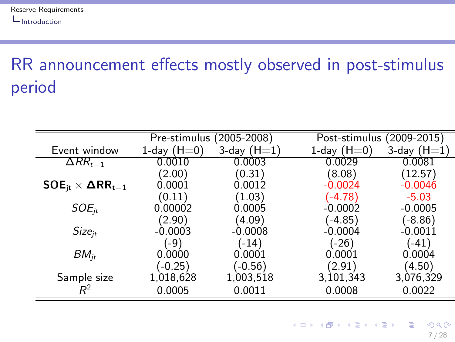# <span id="page-6-0"></span>RR announcement effects mostly observed in post-stimulus period

|                                                                       | Pre-stimulus (2005-2008) |               | Post-stimulus (2009-2015) |                    |
|-----------------------------------------------------------------------|--------------------------|---------------|---------------------------|--------------------|
| Event window                                                          | 1-day $(H=0)$            | 3-day $(H=1)$ | 1-day $(H=0)$             | $3$ -day ( $H=1$ ) |
| $\Delta RR_{t-1}$                                                     | 0.0010                   | 0.0003        | 0.0029                    | 0.0081             |
|                                                                       | (2.00)                   | (0.31)        | (8.08)                    | (12.57)            |
| $\mathsf{SOE}_{\mathsf{it}} \times \mathsf{\Delta RR}_{\mathsf{t}-1}$ | 0.0001                   | 0.0012        | $-0.0024$                 | $-0.0046$          |
|                                                                       | (0.11)                   | (1.03)        | $(-4.78)$                 | $-5.03$            |
| $SOE_{it}$                                                            | 0.00002                  | 0.0005        | $-0.0002$                 | $-0.0005$          |
|                                                                       | (2.90)                   | (4.09)        | $(-4.85)$                 | (-8.86)            |
| Size <sub>it</sub>                                                    | $-0.0003$                | $-0.0008$     | $-0.0004$                 | $-0.0011$          |
|                                                                       | (-9)                     | $(-14)$       | $(-26)$                   | $(-41)$            |
| $BM_{it}$                                                             | 0.0000                   | 0.0001        | 0.0001                    | 0.0004             |
|                                                                       | $(-0.25)$                | $(-0.56)$     | (2.91)                    | (4.50)             |
| Sample size                                                           | 1,018,628                | 1,003,518     | 3,101,343                 | 3,076,329          |
|                                                                       | 0.0005                   | 0.0011        | 0.0008                    | 0.0022             |

7 / 28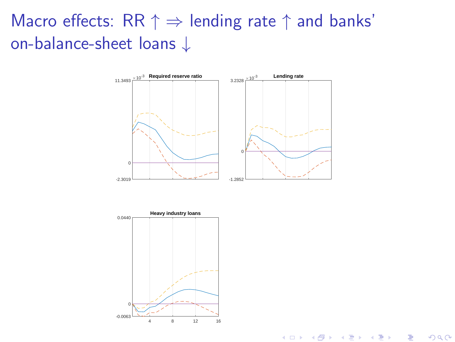## Macro effects: RR  $\uparrow \Rightarrow$  lending rate  $\uparrow$  and banks' on-balance-sheet loans ↓



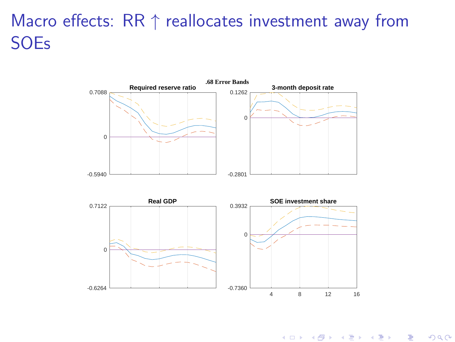## Macro effects:  $RR \uparrow$  reallocates investment away from SOEs



**K ロ ト K 御 ト K 君 ト K 君 ト** 重  $2Q$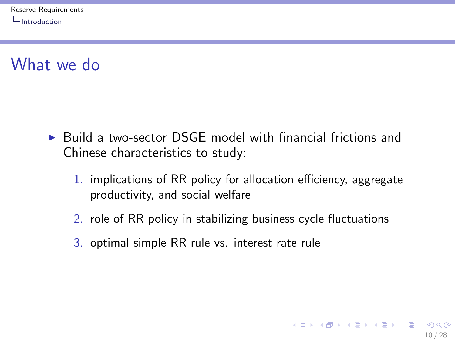## <span id="page-9-0"></span>What we do

- $\triangleright$  Build a two-sector DSGE model with financial frictions and Chinese characteristics to study:
	- 1. implications of RR policy for allocation efficiency, aggregate productivity, and social welfare

10 / 28

K ロ ▶ K @ ▶ K 할 ▶ K 할 ▶ ( 할 ) 900

- 2. role of RR policy in stabilizing business cycle fluctuations
- 3. optimal simple RR rule vs. interest rate rule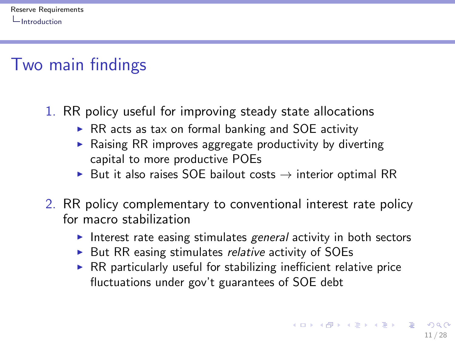## <span id="page-10-0"></span>Two main findings

- 1. RR policy useful for improving steady state allocations
	- $\triangleright$  RR acts as tax on formal banking and SOE activity
	- $\triangleright$  Raising RR improves aggregate productivity by diverting capital to more productive POEs
	- $\triangleright$  But it also raises SOE bailout costs  $\rightarrow$  interior optimal RR
- 2. RR policy complementary to conventional interest rate policy for macro stabilization
	- Interest rate easing stimulates general activity in both sectors
	- $\triangleright$  But RR easing stimulates *relative* activity of SOEs
	- $\triangleright$  RR particularly useful for stabilizing inefficient relative price fluctuations under gov't guarantees of SOE debt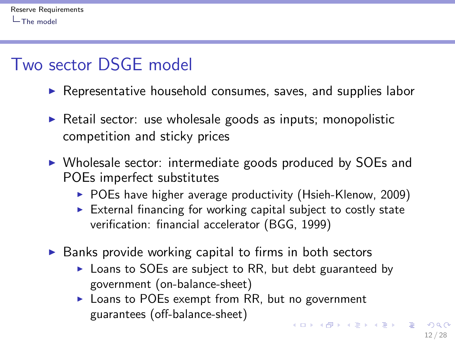## <span id="page-11-0"></span>Two sector DSGE model

- $\triangleright$  Representative household consumes, saves, and supplies labor
- $\triangleright$  Retail sector: use wholesale goods as inputs; monopolistic competition and sticky prices
- $\triangleright$  Wholesale sector: intermediate goods produced by SOEs and POEs imperfect substitutes
	- $\triangleright$  POEs have higher average productivity (Hsieh-Klenow, 2009)
	- $\triangleright$  External financing for working capital subject to costly state verification: financial accelerator (BGG, 1999)
- $\triangleright$  Banks provide working capital to firms in both sectors
	- $\triangleright$  Loans to SOEs are subject to RR, but debt guaranteed by government (on-balance-sheet)
	- $\triangleright$  Loans to POEs exempt from RR, but no government guarantees (off-balance-sheet) **KORK EX KEY A BY A GAR**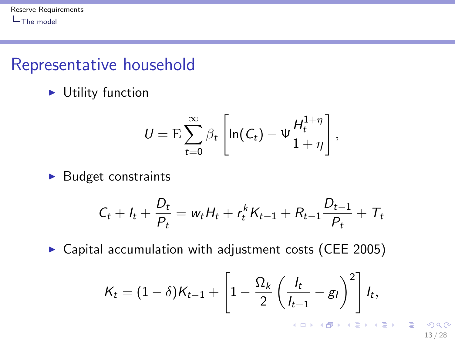#### <span id="page-12-0"></span>Representative household

 $\blacktriangleright$  Utility function

$$
U = \mathrm{E} \sum_{t=0}^{\infty} \beta_t \left[ \ln(C_t) - \Psi \frac{H_t^{1+\eta}}{1+\eta} \right],
$$

 $\blacktriangleright$  Budget constraints

$$
C_t + I_t + \frac{D_t}{P_t} = w_t H_t + r_t^k K_{t-1} + R_{t-1} \frac{D_{t-1}}{P_t} + T_t
$$

 $\triangleright$  Capital accumulation with adjustment costs (CEE 2005)

$$
K_t = (1-\delta)K_{t-1} + \left[1 - \frac{\Omega_k}{2}\left(\frac{l_t}{l_{t-1}} - g_l\right)^2\right]l_t,
$$

 $QQ$ 13 / 28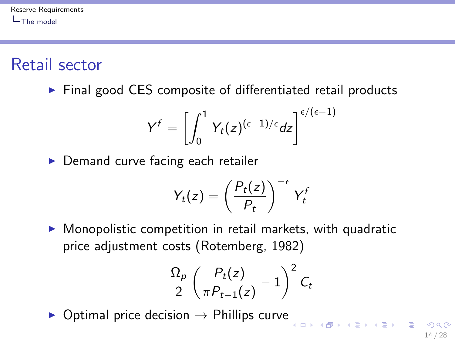<span id="page-13-0"></span>Retail sector

 $\triangleright$  Final good CES composite of differentiated retail products

$$
Y^f = \left[ \int_0^1 Y_t(z)^{(\epsilon - 1)/\epsilon} dz \right]^{\epsilon/(\epsilon - 1)}
$$

 $\triangleright$  Demand curve facing each retailer

$$
Y_t(z) = \left(\frac{P_t(z)}{P_t}\right)^{-\epsilon} Y_t^t
$$

 $\triangleright$  Monopolistic competition in retail markets, with quadratic price adjustment costs (Rotemberg, 1982)

$$
\frac{\Omega_p}{2}\left(\frac{P_t(z)}{\pi P_{t-1}(z)}-1\right)^2C_t
$$

 $\triangleright$  Optimal price decision  $\rightarrow$  Phillips curve

**A O A Y A B A SHAKE**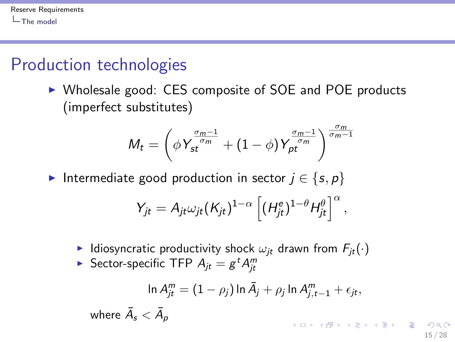## <span id="page-14-0"></span>Production technologies

wher

▶ Wholesale good: CES composite of SOE and POE products (imperfect substitutes)

$$
M_t = \left(\phi Y_{st}^{\frac{\sigma_m-1}{\sigma_m}} + (1-\phi) Y_{pt}^{\frac{\sigma_m-1}{\sigma_m}}\right)^{\frac{\sigma_m}{\sigma_m-1}}
$$

Intermediate good production in sector  $j \in \{s, p\}$ 

$$
Y_{jt} = A_{jt} \omega_{jt} (K_{jt})^{1-\alpha} \left[ (H_{jt}^e)^{1-\theta} H_{jt}^{\theta} \right]^{\alpha},
$$

- I Idiosyncratic productivity shock  $\omega_{it}$  drawn from  $F_{it}(\cdot)$
- $\blacktriangleright$  Sector-specific TFP  $A_{jt} = g^t A_{jt}^m$

$$
\ln A_{jt}^m = (1 - \rho_j) \ln \bar{A}_j + \rho_j \ln A_{j,t-1}^m + \epsilon_{jt},
$$
  
ee  $\bar{A}_s < \bar{A}_p$ 

15 / 28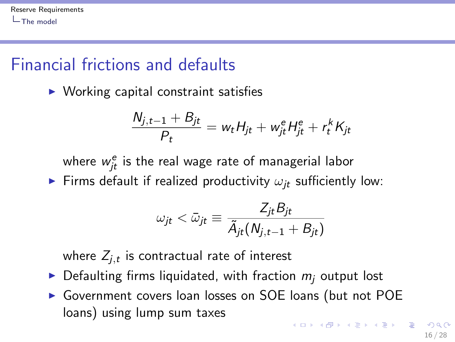## <span id="page-15-0"></span>Financial frictions and defaults

 $\triangleright$  Working capital constraint satisfies

$$
\frac{N_{j,t-1}+B_{jt}}{P_t}=w_t H_{jt}+w_{jt}^e H_{jt}^e+r_t^k K_{jt}
$$

where  $w_{jt}^e$  is the real wage rate of managerial labor

Firms default if realized productivity  $\omega_{it}$  sufficiently low:

$$
\omega_{jt} < \bar{\omega}_{jt} \equiv \frac{Z_{jt}B_{jt}}{\tilde{A}_{jt}(N_{j,t-1} + B_{jt})}
$$

where  $\mathsf{Z}_{j,t}$  is contractual rate of interest

- $\triangleright$  Defaulting firms liquidated, with fraction  $m_i$  output lost
- ▶ Government covers loan losses on SOE loans (but not POE loans) using lump sum taxes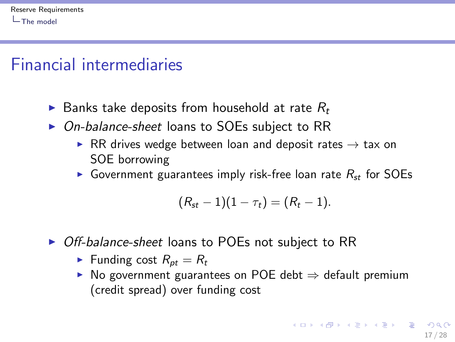#### <span id="page-16-0"></span>Financial intermediaries

- $\triangleright$  Banks take deposits from household at rate  $R_t$
- $\triangleright$  On-balance-sheet loans to SOEs subject to RR
	- ▶ RR drives wedge between loan and deposit rates  $→$  tax on SOE borrowing
	- Government guarantees imply risk-free loan rate  $R_{st}$  for SOEs

$$
(R_{st}-1)(1-\tau_t)=(R_t-1).
$$

- ▶ Off-balance-sheet loans to POEs not subject to RR
	- Funding cost  $R_{pt} = R_t$
	- $\triangleright$  No government guarantees on POE debt  $\Rightarrow$  default premium (credit spread) over funding cost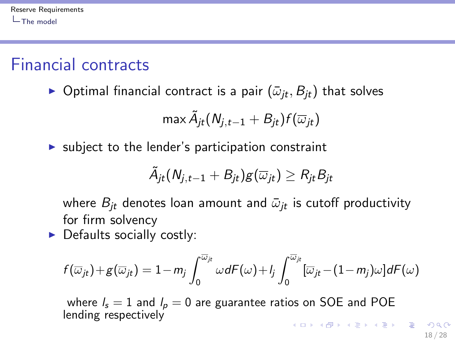## <span id="page-17-0"></span>Financial contracts

**•** Optimal financial contract is a pair  $(\bar{\omega}_{it}, B_{it})$  that solves

$$
\max \tilde{A}_{jt}(N_{j,t-1}+B_{jt})f(\overline{\omega}_{jt})
$$

 $\triangleright$  subject to the lender's participation constraint

$$
\widetilde{A}_{jt}(N_{j,t-1}+B_{jt})g(\overline{\omega}_{jt})\geq R_{jt}B_{jt}
$$

where  $B_{it}$  denotes loan amount and  $\bar{\omega}_{it}$  is cutoff productivity for firm solvency

 $\triangleright$  Defaults socially costly:

$$
f(\overline{\omega}_{jt})+g(\overline{\omega}_{jt})=1-m_j\int_0^{\overline{\omega}_{jt}}\omega dF(\omega)+l_j\int_0^{\overline{\omega}_{jt}}[\overline{\omega}_{jt}-(1-m_j)\omega]dF(\omega)
$$

where  $l_s = 1$  and  $l_p = 0$  are guarantee ratios on SOE and POE lending respectively K ロ ▶ K @ ▶ K 할 ▶ K 할 ▶ ... 할 ...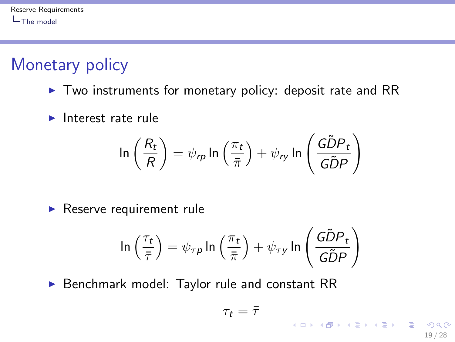# <span id="page-18-0"></span>Monetary policy

- $\triangleright$  Two instruments for monetary policy: deposit rate and RR
- $\blacktriangleright$  Interest rate rule

$$
\ln\left(\frac{R_t}{R}\right) = \psi_{rp} \ln\left(\frac{\pi_t}{\bar{\pi}}\right) + \psi_{ry} \ln\left(\frac{G\tilde{D}P_t}{G\tilde{D}P}\right)
$$

 $\blacktriangleright$  Reserve requirement rule

$$
\ln\left(\frac{\tau_t}{\bar{\tau}}\right) = \psi_{\tau p} \ln\left(\frac{\pi_t}{\bar{\pi}}\right) + \psi_{\tau y} \ln\left(\frac{\tilde{G}\tilde{D}P_t}{\tilde{G}\tilde{D}P}\right)
$$

 $\triangleright$  Benchmark model: Taylor rule and constant RR

$$
\tau_t = \bar{\tau}
$$

19 / 28

 $\Omega$ 

イロト 不優 ト 不差 ト 不差 トー 差し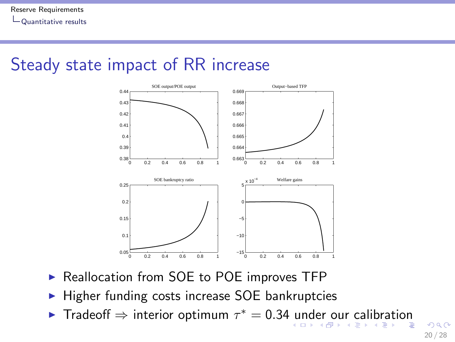#### <span id="page-19-0"></span>Steady state impact of RR increase



- ▶ Reallocation from SOE to POE improves TFP
- $\blacktriangleright$  Higher funding costs increase SOE bankruptcies
- Frad[e](#page-18-0)off  $\Rightarrow$  $\Rightarrow$  $\Rightarrow$  interio[r o](#page-19-0)ptim[u](#page-20-0)m  $\tau^* = 0.34$  $\tau^* = 0.34$  $\tau^* = 0.34$  [u](#page-18-0)[nd](#page-20-0)er our [c](#page-19-0)a[l](#page-27-0)[ib](#page-18-0)ra[ti](#page-27-0)[on](#page-0-0)

 $2990$ 20 / 28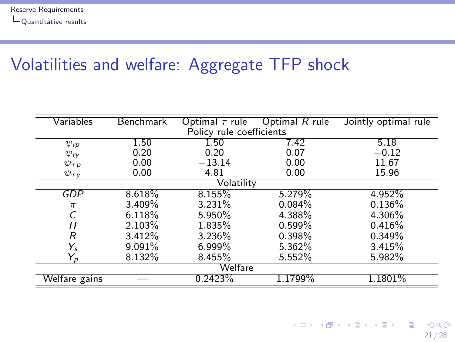## <span id="page-20-0"></span>Volatilities and welfare: Aggregate TFP shock

| Variables            | Benchmark                | Optimal $\tau$ rule | Optimal R rule | Jointly optimal rule |  |
|----------------------|--------------------------|---------------------|----------------|----------------------|--|
|                      | Policy rule coefficients |                     |                |                      |  |
| $\psi_{\mathsf{rp}}$ | 1.50                     | 1.50                | 7.42           | 5.18                 |  |
| $\psi_{I\!V}$        | 0.20                     | 0.20                | 0.07           | $-0.12$              |  |
| $\psi_{\tau p}$      | 0.00                     | $-13.14$            | 0.00           | 11.67                |  |
| $\psi_{\tau\gamma}$  | 0.00                     | 4.81                | 0.00           | 15.96                |  |
|                      |                          | Volatility          |                |                      |  |
| <b>GDP</b>           | 8.618%                   | 8.155%              | 5.279%         | 4.952%               |  |
| $\pi$                | 3.409%                   | 3.231%              | 0.084%         | 0.136%               |  |
|                      | 6.118%                   | 5.950%              | 4.388%         | 4.306%               |  |
| Н                    | 2.103%                   | 1.835%              | 0.599%         | 0.416%               |  |
| R                    | 3.412%                   | 3.236%              | 0.398%         | 0.349%               |  |
| Ys                   | 9.091%                   | $6.999\%$           | 5.362%         | 3.415%               |  |
| Y,                   | 8.132%                   | 8.455%              | 5.552%         | 5.982%               |  |
| Welfare              |                          |                     |                |                      |  |
| Welfare gains        |                          | 0.2423%             | 1.1799%        | 1.1801%              |  |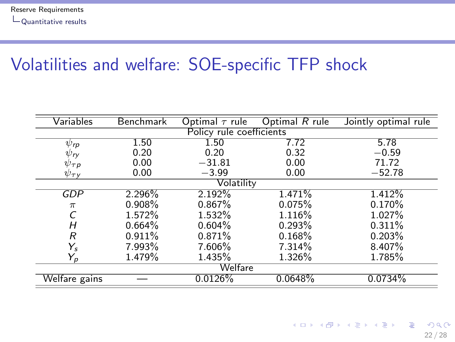## <span id="page-21-0"></span>Volatilities and welfare: SOE-specific TFP shock

| Variables            | <b>Benchmark</b>         | Optimal $\tau$ rule | Optimal R rule | Jointly optimal rule |  |  |
|----------------------|--------------------------|---------------------|----------------|----------------------|--|--|
|                      | Policy rule coefficients |                     |                |                      |  |  |
| $\psi_{\mathsf{rp}}$ | 1.50                     | 1.50                | 7.72           | 5.78                 |  |  |
| $\psi_{I}$           | 0.20                     | 0.20                | 0.32           | $-0.59$              |  |  |
| $\psi_{\tau}$ p      | 0.00                     | $-31.81$            | 0.00           | 71.72                |  |  |
| $\psi_{\tau\gamma}$  | 0.00                     | $-3.99$             | 0.00           | $-52.78$             |  |  |
|                      |                          | Volatility          |                |                      |  |  |
| GDP                  | 2.296%                   | 2.192%              | 1.471%         | 1.412%               |  |  |
| $\pi$                | 0.908%                   | 0.867%              | 0.075%         | 0.170%               |  |  |
|                      | 1.572%                   | 1.532%              | 1.116%         | 1.027%               |  |  |
| Н                    | 0.664%                   | 0.604%              | 0.293%         | 0.311%               |  |  |
| R                    | 0.911%                   | 0.871%              | 0.168%         | 0.203%               |  |  |
| $Y_{s}$              | 7.993%                   | 7.606%              | 7.314%         | 8.407%               |  |  |
| Y,                   | 1.479%                   | 1.435%              | 1.326%         | 1.785%               |  |  |
| Welfare              |                          |                     |                |                      |  |  |
| Welfare gains        |                          | 0.0126%             | 0.0648%        | 0.0734%              |  |  |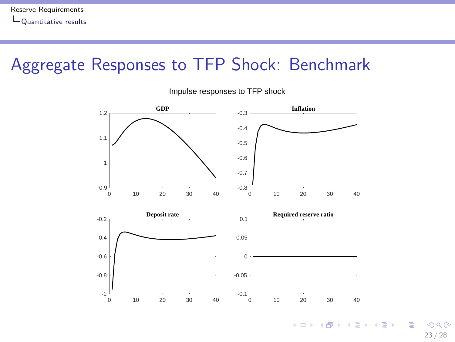#### <span id="page-22-0"></span>Aggregate Responses to TFP Shock: Benchmark



**E**  $299$ 23 / 28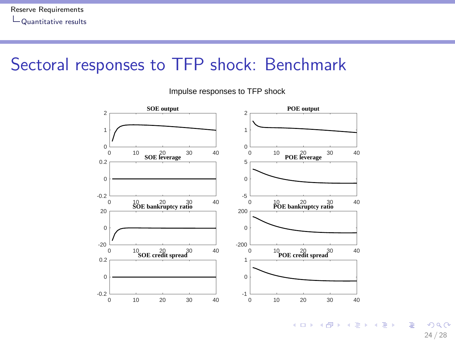#### <span id="page-23-0"></span>Sectoral responses to TFP shock: Benchmark

Impulse responses to TFP shock



 $\left\{ \begin{array}{ccc} 1 & 0 & 0 \\ 0 & 1 & 0 \end{array} \right.$ **E**  $2990$ 24 / 28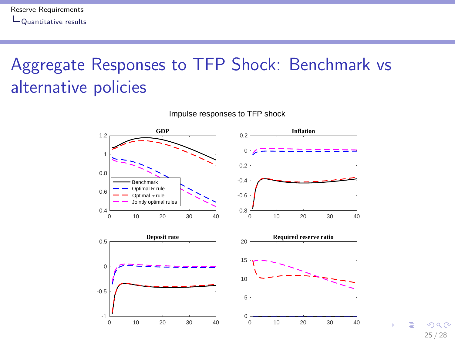# <span id="page-24-0"></span>Aggregate Responses to TFP Shock: Benchmark vs alternative policies



Impulse responses to TFP shock

 $QQ$ 25 / 28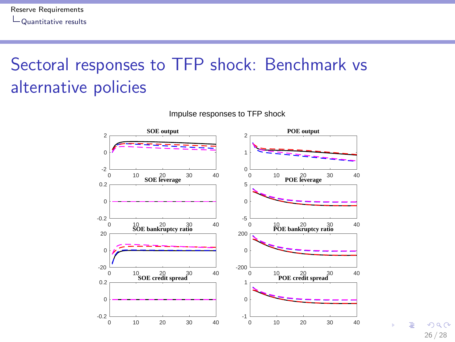# <span id="page-25-0"></span>Sectoral responses to TFP shock: Benchmark vs alternative policies



 $QQ$ 26 / 28

Ξ

Impulse responses to TFP shock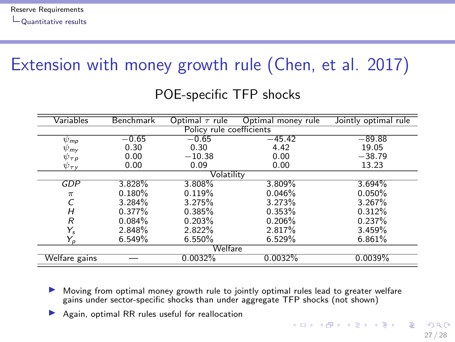# <span id="page-26-0"></span>Extension with money growth rule (Chen, et al. 2017)

| Variables                | Benchmark | Optimal $\tau$ rule | Optimal money rule | Jointly optimal rule |
|--------------------------|-----------|---------------------|--------------------|----------------------|
| Policy rule coefficients |           |                     |                    |                      |
| $\psi_{\text{mp}}$       | $-0.65$   | $-0.65$             | $-45.42$           | $-89.88$             |
| $\psi_{\mathsf{m}\nu}$   | 0.30      | 0.30                | 4.42               | 19.05                |
| $\psi_{\tau p}$          | 0.00      | $-10.38$            | 0.00               | $-38.79$             |
| $\psi_{\tau\gamma}$      | 0.00      | 0.09                | 0.00               | 13.23                |
|                          |           | Volatility          |                    |                      |
| GDP                      | 3.828%    | 3.808%              | 3.809%             | 3.694%               |
| $\pi$                    | 0.180%    | 0.119%              | 0.046%             | 0.050%               |
|                          | 3.284%    | 3.275%              | 3.273%             | 3.267%               |
| Н                        | 0.377%    | 0.385%              | 0.353%             | 0.312%               |
| R                        | 0.084%    | 0.203%              | 0.206%             | 0.237%               |
| Y,                       | 2.848%    | 2.822%              | 2.817%             | 3.459%               |
| $Y_p$                    | 6.549%    | 6.550%              | 6.529%             | 6.861%               |
| Welfare                  |           |                     |                    |                      |
| Welfare gains            |           | 0.0032%             | 0.0032%            | 0.0039%              |

#### POE-specific TFP shocks

I Moving from optimal money growth rule to jointly optimal rules lead to greater welfare gains under sector-specific shocks than under aggregate TFP shocks (not shown)

Again, optimal RR rules useful for reallocation